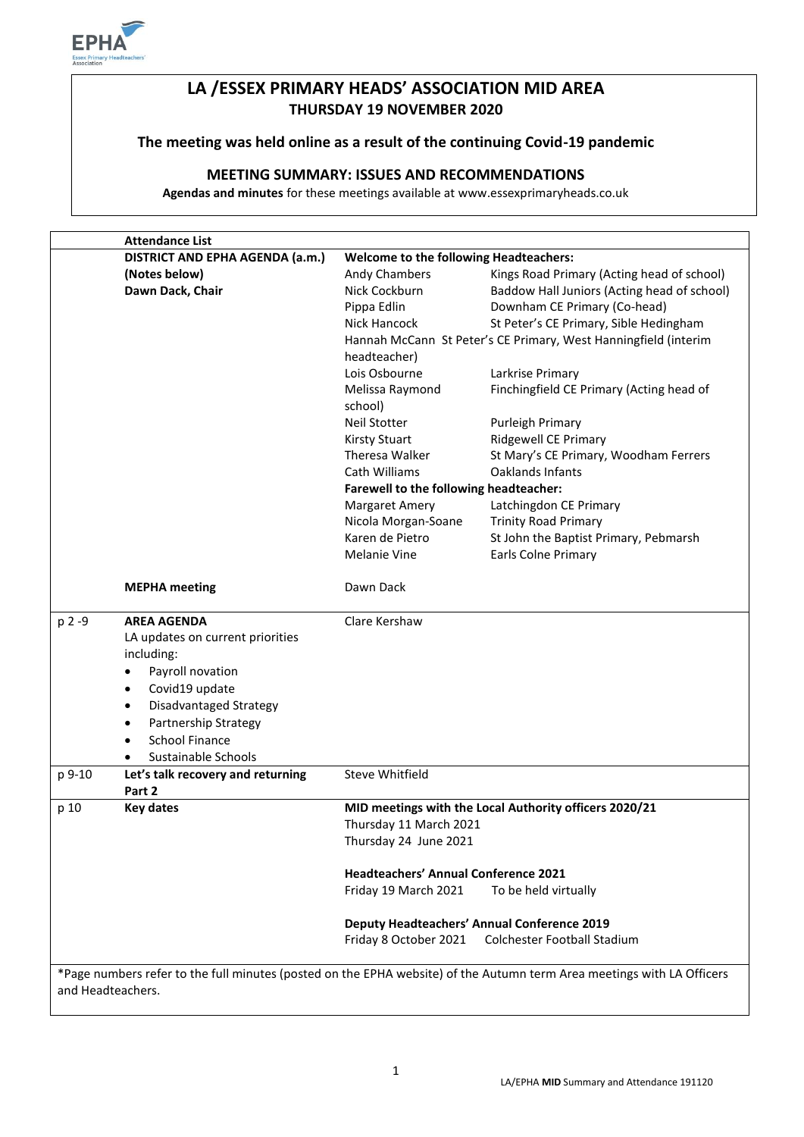

# **LA /ESSEX PRIMARY HEADS' ASSOCIATION MID AREA THURSDAY 19 NOVEMBER 2020**

# **The meeting was held online as a result of the continuing Covid-19 pandemic**

# **MEETING SUMMARY: ISSUES AND RECOMMENDATIONS**

**Agendas and minutes** for these meetings available at www.essexprimaryheads.co.uk

|                   | <b>Attendance List</b>                      |                                                                 |                                                                                                                        |  |
|-------------------|---------------------------------------------|-----------------------------------------------------------------|------------------------------------------------------------------------------------------------------------------------|--|
|                   | DISTRICT AND EPHA AGENDA (a.m.)             | <b>Welcome to the following Headteachers:</b>                   |                                                                                                                        |  |
|                   | (Notes below)                               | Andy Chambers                                                   | Kings Road Primary (Acting head of school)                                                                             |  |
|                   | Dawn Dack, Chair                            | Nick Cockburn                                                   | Baddow Hall Juniors (Acting head of school)                                                                            |  |
|                   |                                             | Pippa Edlin                                                     | Downham CE Primary (Co-head)                                                                                           |  |
|                   |                                             | Nick Hancock                                                    | St Peter's CE Primary, Sible Hedingham                                                                                 |  |
|                   |                                             | Hannah McCann St Peter's CE Primary, West Hanningfield (interim |                                                                                                                        |  |
|                   |                                             | headteacher)                                                    |                                                                                                                        |  |
|                   |                                             | Lois Osbourne                                                   | Larkrise Primary                                                                                                       |  |
|                   |                                             | Melissa Raymond                                                 | Finchingfield CE Primary (Acting head of                                                                               |  |
|                   |                                             | school)                                                         |                                                                                                                        |  |
|                   |                                             | <b>Neil Stotter</b>                                             | Purleigh Primary                                                                                                       |  |
|                   |                                             | <b>Kirsty Stuart</b>                                            | <b>Ridgewell CE Primary</b>                                                                                            |  |
|                   |                                             | Theresa Walker                                                  | St Mary's CE Primary, Woodham Ferrers                                                                                  |  |
|                   |                                             | Cath Williams                                                   | <b>Oaklands Infants</b>                                                                                                |  |
|                   |                                             | Farewell to the following headteacher:                          |                                                                                                                        |  |
|                   |                                             | <b>Margaret Amery</b>                                           | Latchingdon CE Primary                                                                                                 |  |
|                   |                                             | Nicola Morgan-Soane                                             | <b>Trinity Road Primary</b>                                                                                            |  |
|                   |                                             | Karen de Pietro                                                 | St John the Baptist Primary, Pebmarsh                                                                                  |  |
|                   |                                             | Melanie Vine                                                    | Earls Colne Primary                                                                                                    |  |
|                   | <b>MEPHA</b> meeting                        | Dawn Dack                                                       |                                                                                                                        |  |
| p 2 -9            | <b>AREA AGENDA</b>                          | Clare Kershaw                                                   |                                                                                                                        |  |
|                   | LA updates on current priorities            |                                                                 |                                                                                                                        |  |
|                   | including:                                  |                                                                 |                                                                                                                        |  |
|                   | Payroll novation<br>٠                       |                                                                 |                                                                                                                        |  |
|                   | Covid19 update<br>$\bullet$                 |                                                                 |                                                                                                                        |  |
|                   | Disadvantaged Strategy<br>$\bullet$         |                                                                 |                                                                                                                        |  |
|                   | <b>Partnership Strategy</b><br>٠            |                                                                 |                                                                                                                        |  |
|                   | <b>School Finance</b><br>٠                  |                                                                 |                                                                                                                        |  |
|                   | Sustainable Schools                         |                                                                 |                                                                                                                        |  |
| p 9-10            | Let's talk recovery and returning<br>Part 2 | <b>Steve Whitfield</b>                                          |                                                                                                                        |  |
| p 10              | <b>Key dates</b>                            |                                                                 | MID meetings with the Local Authority officers 2020/21                                                                 |  |
|                   |                                             | Thursday 11 March 2021                                          |                                                                                                                        |  |
|                   |                                             | Thursday 24 June 2021                                           |                                                                                                                        |  |
|                   |                                             | <b>Headteachers' Annual Conference 2021</b>                     |                                                                                                                        |  |
|                   |                                             | Friday 19 March 2021                                            | To be held virtually                                                                                                   |  |
|                   |                                             |                                                                 | <b>Deputy Headteachers' Annual Conference 2019</b>                                                                     |  |
|                   |                                             | Friday 8 October 2021                                           | Colchester Football Stadium                                                                                            |  |
|                   |                                             |                                                                 |                                                                                                                        |  |
|                   |                                             |                                                                 | *Page numbers refer to the full minutes (posted on the EPHA website) of the Autumn term Area meetings with LA Officers |  |
| and Headteachers. |                                             |                                                                 |                                                                                                                        |  |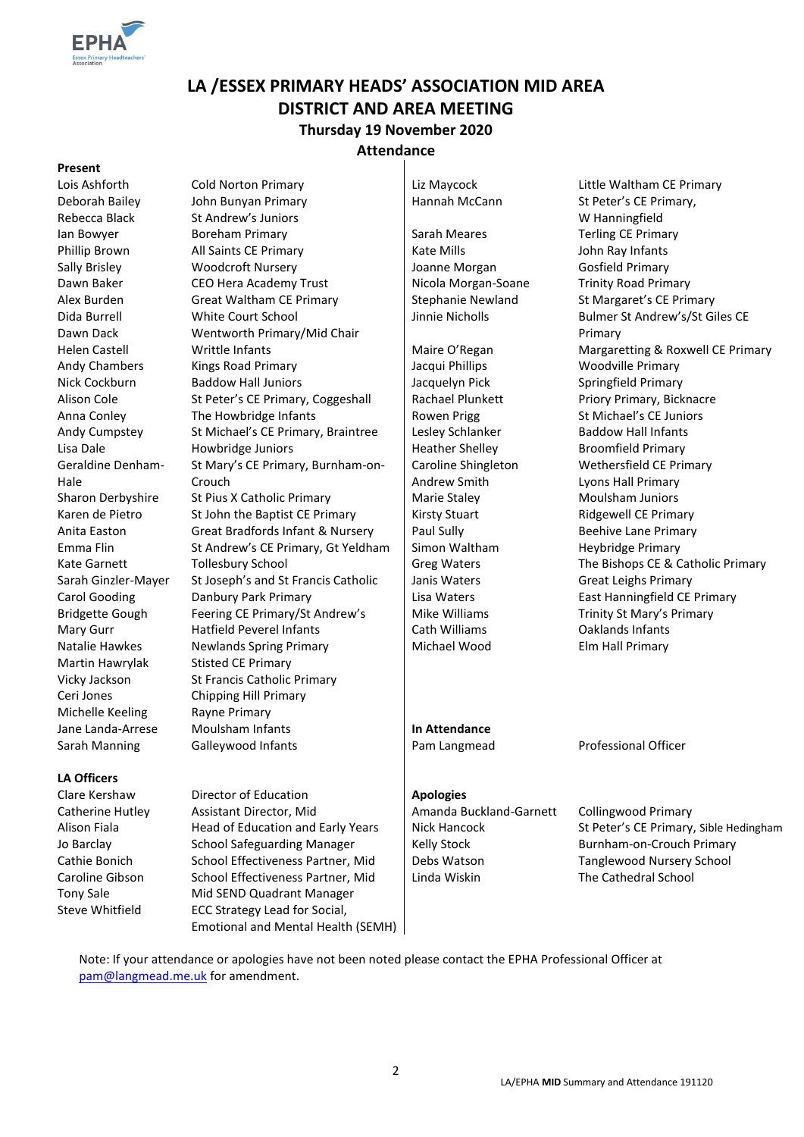

# **LA /ESSEX PRIMARY HEADS' ASSOCIATION MID AREA DISTRICT AND AREA MEETING Thursday 19 November 2020 Attendance**

#### **Present**

Deborah Bailey Rebecca Black Dida Burrell Dawn Dack Geraldine Denham-Hale Martin Hawrylak Stisted CE Primary Michelle Keeling Rayne Primary

#### **LA Officers**

Clare Kershaw Director of Education **Apologies** Tony Sale Mid SEND Quadrant Manager Steve Whitfield ECC Strategy Lead for Social,

Lois Ashforth Cold Norton Primary Liz Maycock Little Waltham CE Primary John Bunyan Primary St Andrew's Juniors Ian Bowyer **Boreham Primary Sarah Meares** Sarah Meares Terling CE Primary Phillip Brown All Saints CE Primary Kate Mills Cases and Hohn Ray Infants Sally Brisley **Woodcroft Nursery** Joanne Morgan Gosfield Primary Dawn Baker CEO Hera Academy Trust | Nicola Morgan-Soane Trinity Road Primary Alex Burden Great Waltham CE Primary Stephanie Newland St Margaret's CE Primary White Court School Wentworth Primary/Mid Chair Andy Chambers Kings Road Primary **Andy Chambers** Kings Road Primary **Jacqui Phillips** Woodville Primary Nick Cockburn Baddow Hall Juniors Jacquelyn Pick Springfield Primary Alison Cole St Peter's CE Primary, Coggeshall | Rachael Plunkett Priory Primary, Bicknacre Anna Conley The Howbridge Infants | Rowen Prigg St Michael's CE Juniors Andy Cumpstey St Michael's CE Primary, Braintree | Lesley Schlanker Baddow Hall Infants Lisa Dale **Howbridge Juniors** Heather Shelley Broomfield Primary St Mary's CE Primary, Burnham-on-Crouch Sharon Derbyshire St Pius X Catholic Primary Marie Staley Moulsham Juniors Moulsham Juniors Karen de Pietro St John the Baptist CE Primary Figures 1 | Kirsty Stuart Kirsty Stuart Ridgewell CE Primary Anita Easton Great Bradfords Infant & Nursery | Paul Sully Beehive Lane Primary Emma Flin St Andrew's CE Primary, Gt Yeldham Simon Waltham Heybridge Primary Kate Garnett Tollesbury School Greg Waters The Bishops CE & Catholic Primary Sarah Ginzler-Mayer St Joseph's and St Francis Catholic | Janis Waters Great Leighs Primary Carol Gooding Danbury Park Primary Lisa Waters East Hanningfield CE Primary Bridgette Gough Feering CE Primary/St Andrew's Mike Williams Trinity St Mary's Primary Mary Gurr Hatfield Peverel Infants Cath Williams Oaklands Infants Natalie Hawkes Newlands Spring Primary Nichael Wood Elm Hall Primary Vicky Jackson St Francis Catholic Primary Ceri Jones Chipping Hill Primary Jane Landa-Arrese Moulsham Infants **In Attendance** Sarah Manning Galleywood Infants **Pam Langmead** Professional Officer

Caroline Shingleton Andrew Smith

Catherine Hutley Assistant Director, Mid Amanda Buckland-Garnett Collingwood Primary Cathie Bonich School Effectiveness Partner, Mid | Debs Watson Tanglewood Nursery School

Hannah McCann St Peter's CE Primary, W Hanningfield Jinnie Nicholls Bulmer St Andrew's/St Giles CE Primary Helen Castell **Mattle Infants** Microsoft Maire O'Regan Margaretting & Roxwell CE Primary Wethersfield CE Primary Lyons Hall Primary

Alison Fiala **Head of Education and Early Years** Nick Hancock St Peter's CE Primary, Sible Hedingham Jo Barclay School Safeguarding Manager Kelly Stock Burnham-on-Crouch Primary Caroline Gibson School Effectiveness Partner, Mid | Linda Wiskin The Cathedral School

Note: If your attendance or apologies have not been noted please contact the EPHA Professional Officer at [pam@langmead.me.uk](mailto:pam@langmead.me.uk) for amendment.

Emotional and Mental Health (SEMH)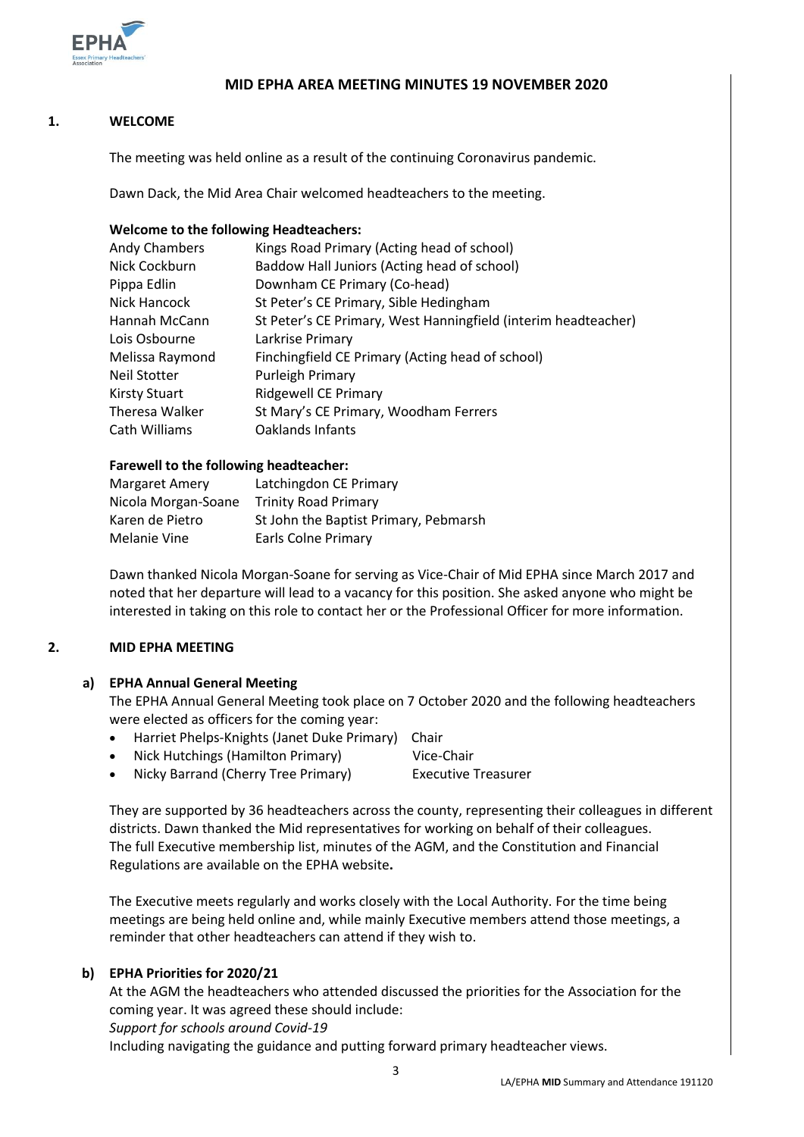

## **MID EPHA AREA MEETING MINUTES 19 NOVEMBER 2020**

### **1. WELCOME**

The meeting was held online as a result of the continuing Coronavirus pandemic.

Dawn Dack, the Mid Area Chair welcomed headteachers to the meeting.

#### **Welcome to the following Headteachers:**

| Andy Chambers        | Kings Road Primary (Acting head of school)                     |
|----------------------|----------------------------------------------------------------|
| Nick Cockburn        | Baddow Hall Juniors (Acting head of school)                    |
| Pippa Edlin          | Downham CE Primary (Co-head)                                   |
| Nick Hancock         | St Peter's CE Primary, Sible Hedingham                         |
| Hannah McCann        | St Peter's CE Primary, West Hanningfield (interim headteacher) |
| Lois Osbourne        | Larkrise Primary                                               |
| Melissa Raymond      | Finchingfield CE Primary (Acting head of school)               |
| Neil Stotter         | Purleigh Primary                                               |
| <b>Kirsty Stuart</b> | <b>Ridgewell CE Primary</b>                                    |
| Theresa Walker       | St Mary's CE Primary, Woodham Ferrers                          |
| Cath Williams        | Oaklands Infants                                               |

#### **Farewell to the following headteacher:**

| Margaret Amery      | Latchingdon CE Primary                |
|---------------------|---------------------------------------|
| Nicola Morgan-Soane | <b>Trinity Road Primary</b>           |
| Karen de Pietro     | St John the Baptist Primary, Pebmarsh |
| Melanie Vine        | <b>Earls Colne Primary</b>            |

Dawn thanked Nicola Morgan-Soane for serving as Vice-Chair of Mid EPHA since March 2017 and noted that her departure will lead to a vacancy for this position. She asked anyone who might be interested in taking on this role to contact her or the Professional Officer for more information.

#### **2. MID EPHA MEETING**

#### **a) EPHA Annual General Meeting**

The EPHA Annual General Meeting took place on 7 October 2020 and the following headteachers were elected as officers for the coming year:

- Harriet Phelps-Knights (Janet Duke Primary) Chair
- Nick Hutchings (Hamilton Primary) Vice-Chair
- Nicky Barrand (Cherry Tree Primary) Executive Treasurer

They are supported by 36 headteachers across the county, representing their colleagues in different districts. Dawn thanked the Mid representatives for working on behalf of their colleagues. The full Executive membership list, minutes of the AGM, and the Constitution and Financial Regulations are available on the EPHA website**.** 

The Executive meets regularly and works closely with the Local Authority. For the time being meetings are being held online and, while mainly Executive members attend those meetings, a reminder that other headteachers can attend if they wish to.

### **b) EPHA Priorities for 2020/21**

At the AGM the headteachers who attended discussed the priorities for the Association for the coming year. It was agreed these should include: *Support for schools around Covid-19*

Including navigating the guidance and putting forward primary headteacher views.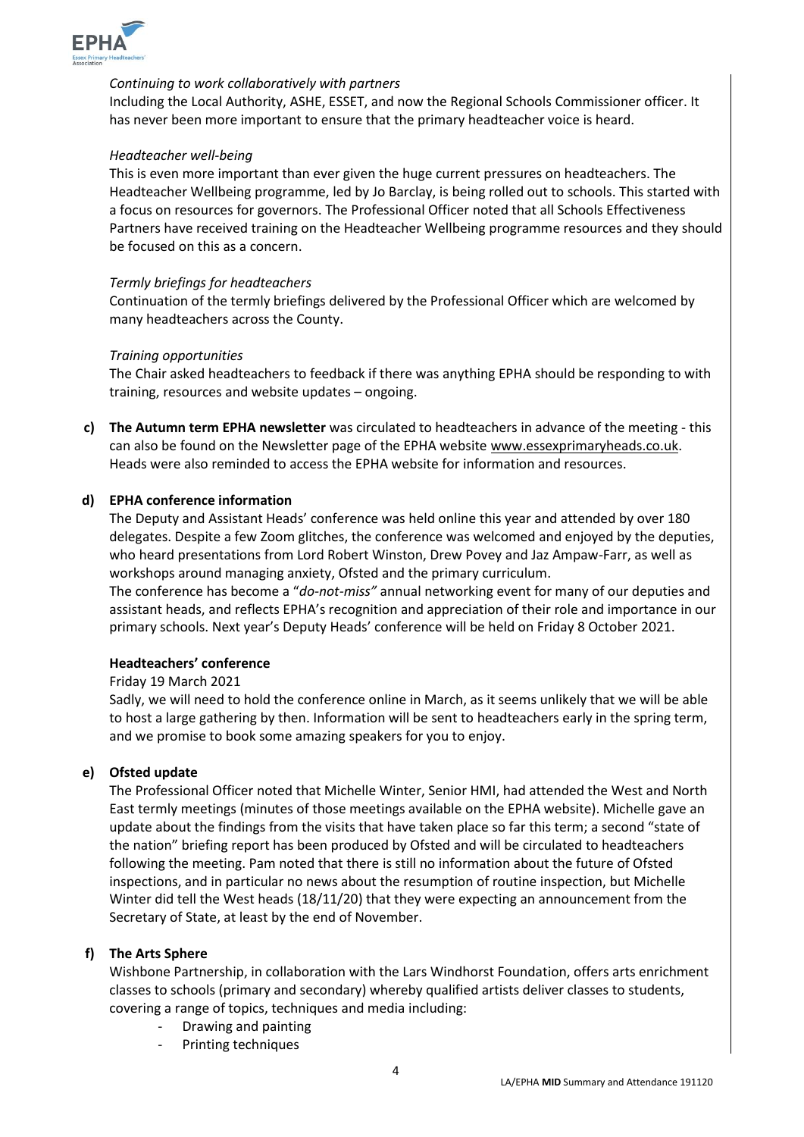

#### *Continuing to work collaboratively with partners*

Including the Local Authority, ASHE, ESSET, and now the Regional Schools Commissioner officer. It has never been more important to ensure that the primary headteacher voice is heard.

#### *Headteacher well-being*

This is even more important than ever given the huge current pressures on headteachers. The Headteacher Wellbeing programme, led by Jo Barclay, is being rolled out to schools. This started with a focus on resources for governors. The Professional Officer noted that all Schools Effectiveness Partners have received training on the Headteacher Wellbeing programme resources and they should be focused on this as a concern.

#### *Termly briefings for headteachers*

Continuation of the termly briefings delivered by the Professional Officer which are welcomed by many headteachers across the County.

#### *Training opportunities*

The Chair asked headteachers to feedback if there was anything EPHA should be responding to with training, resources and website updates – ongoing.

**c) The Autumn term EPHA newsletter** was circulated to headteachers in advance of the meeting - this can also be found on the Newsletter page of the EPHA website [www.essexprimaryheads.co.uk.](http://www.essexprimaryheads.co.uk/) Heads were also reminded to access the EPHA website for information and resources.

#### **d) EPHA conference information**

The Deputy and Assistant Heads' conference was held online this year and attended by over 180 delegates. Despite a few Zoom glitches, the conference was welcomed and enjoyed by the deputies, who heard presentations from Lord Robert Winston, Drew Povey and Jaz Ampaw-Farr, as well as workshops around managing anxiety, Ofsted and the primary curriculum.

The conference has become a "*do-not-miss"* annual networking event for many of our deputies and assistant heads, and reflects EPHA's recognition and appreciation of their role and importance in our primary schools. Next year's Deputy Heads' conference will be held on Friday 8 October 2021.

#### **Headteachers' conference**

Friday 19 March 2021

Sadly, we will need to hold the conference online in March, as it seems unlikely that we will be able to host a large gathering by then. Information will be sent to headteachers early in the spring term, and we promise to book some amazing speakers for you to enjoy.

#### **e) Ofsted update**

The Professional Officer noted that Michelle Winter, Senior HMI, had attended the West and North East termly meetings (minutes of those meetings available on the EPHA website). Michelle gave an update about the findings from the visits that have taken place so far this term; a second "state of the nation" briefing report has been produced by Ofsted and will be circulated to headteachers following the meeting. Pam noted that there is still no information about the future of Ofsted inspections, and in particular no news about the resumption of routine inspection, but Michelle Winter did tell the West heads (18/11/20) that they were expecting an announcement from the Secretary of State, at least by the end of November.

#### **f) The Arts Sphere**

Wishbone Partnership, in collaboration with the Lars Windhorst Foundation, offers arts enrichment classes to schools (primary and secondary) whereby qualified artists deliver classes to students, covering a range of topics, techniques and media including:

- Drawing and painting
- Printing techniques